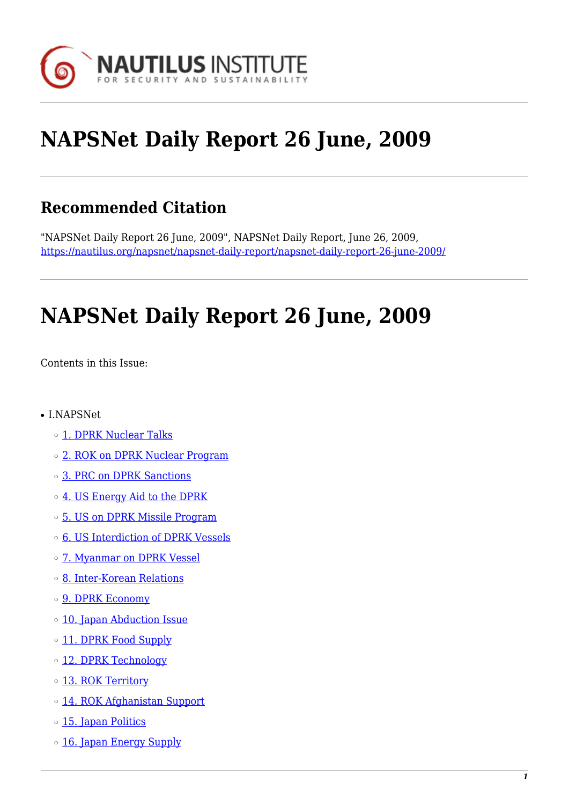

# **NAPSNet Daily Report 26 June, 2009**

# **Recommended Citation**

"NAPSNet Daily Report 26 June, 2009", NAPSNet Daily Report, June 26, 2009, <https://nautilus.org/napsnet/napsnet-daily-report/napsnet-daily-report-26-june-2009/>

# **NAPSNet Daily Report 26 June, 2009**

<span id="page-0-0"></span>Contents in this Issue:

- I.NAPSNet
	- ❍ [1. DPRK Nuclear Talks](#page-1-0)
	- ❍ [2. ROK on DPRK Nuclear Program](#page-1-1)
	- ❍ [3. PRC on DPRK Sanctions](#page-1-2)
	- o [4. US Energy Aid to the DPRK](#page-2-0)
	- ❍ [5. US on DPRK Missile Program](#page-2-1)
	- o [6. US Interdiction of DPRK Vessels](#page-3-0)
	- $\circ$  [7. Myanmar on DPRK Vessel](#page-3-1)
	- ❍ [8. Inter-Korean Relations](#page-3-2)
	- o **[9. DPRK Economy](#page-3-3)**
	- ❍ [10. Japan Abduction Issue](#page-4-0)
	- o [11. DPRK Food Supply](#page-4-1)
	- o [12. DPRK Technology](#page-4-2)
	- o [13. ROK Territory](#page-5-0)
	- ❍ [14. ROK Afghanistan Support](#page-5-1)
	- o [15. Japan Politics](#page-5-2)
	- o [16. Japan Energy Supply](#page-6-0)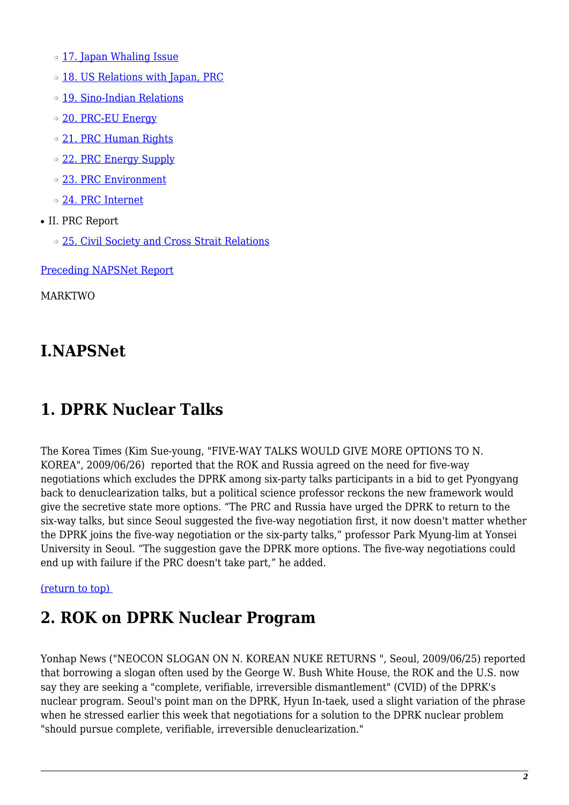- ❍ [17. Japan Whaling Issue](#page-6-1)
- o [18. US Relations with Japan, PRC](#page-6-2)
- o [19. Sino-Indian Relations](#page-6-3)
- o [20. PRC-EU Energy](#page-7-0)
- o [21. PRC Human Rights](#page-7-1)
- ❍ [22. PRC Energy Supply](#page-7-2)
- ❍ [23. PRC Environment](#page-8-0)
- ❍ [24. PRC Internet](#page-8-1)
- II. PRC Report
	- ❍ [25. Civil Society and Cross Strait Relations](#page-9-0)

[Preceding NAPSNet Report](https://nautilus.org/mailing-lists/napsnet/dr/2009-2/napsnet-daily-report-25-june-2009/)

MARKTWO

# **I.NAPSNet**

# <span id="page-1-0"></span>**1. DPRK Nuclear Talks**

The Korea Times (Kim Sue-young, "FIVE-WAY TALKS WOULD GIVE MORE OPTIONS TO N. KOREA", 2009/06/26) reported that the ROK and Russia agreed on the need for five-way negotiations which excludes the DPRK among six-party talks participants in a bid to get Pyongyang back to denuclearization talks, but a political science professor reckons the new framework would give the secretive state more options. "The PRC and Russia have urged the DPRK to return to the six-way talks, but since Seoul suggested the five-way negotiation first, it now doesn't matter whether the DPRK joins the five-way negotiation or the six-party talks," professor Park Myung-lim at Yonsei University in Seoul. "The suggestion gave the DPRK more options. The five-way negotiations could end up with failure if the PRC doesn't take part," he added.

#### <span id="page-1-1"></span>[\(return to top\)](#page-0-0)

# **2. ROK on DPRK Nuclear Program**

<span id="page-1-2"></span>Yonhap News ("NEOCON SLOGAN ON N. KOREAN NUKE RETURNS ", Seoul, 2009/06/25) reported that borrowing a slogan often used by the George W. Bush White House, the ROK and the U.S. now say they are seeking a "complete, verifiable, irreversible dismantlement" (CVID) of the DPRK's nuclear program. Seoul's point man on the DPRK, Hyun In-taek, used a slight variation of the phrase when he stressed earlier this week that negotiations for a solution to the DPRK nuclear problem "should pursue complete, verifiable, irreversible denuclearization."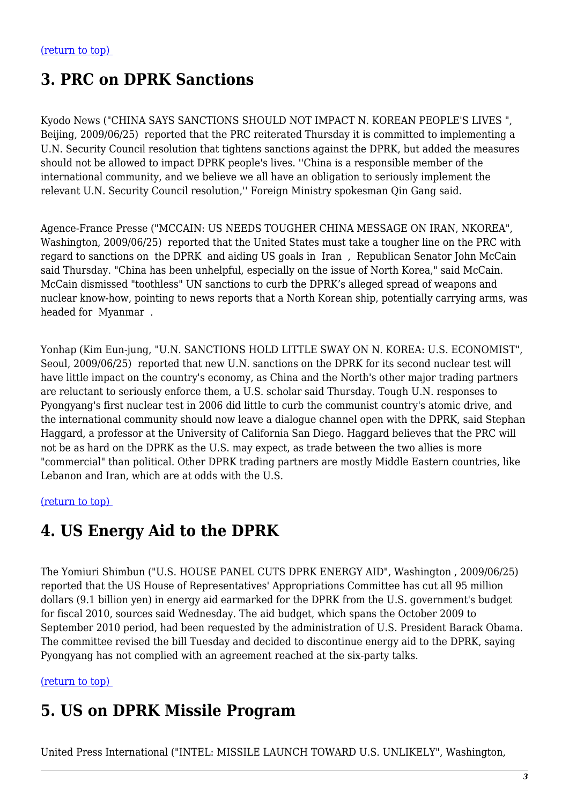# **3. PRC on DPRK Sanctions**

Kyodo News ("CHINA SAYS SANCTIONS SHOULD NOT IMPACT N. KOREAN PEOPLE'S LIVES ", Beijing, 2009/06/25) reported that the PRC reiterated Thursday it is committed to implementing a U.N. Security Council resolution that tightens sanctions against the DPRK, but added the measures should not be allowed to impact DPRK people's lives. ''China is a responsible member of the international community, and we believe we all have an obligation to seriously implement the relevant U.N. Security Council resolution,'' Foreign Ministry spokesman Qin Gang said.

Agence-France Presse ("MCCAIN: US NEEDS TOUGHER CHINA MESSAGE ON IRAN, NKOREA", Washington, 2009/06/25) reported that the United States must take a tougher line on the PRC with regard to sanctions on the DPRK and aiding US goals in Iran , Republican Senator John McCain said Thursday. "China has been unhelpful, especially on the issue of North Korea," said McCain. McCain dismissed "toothless" UN sanctions to curb the DPRK's alleged spread of weapons and nuclear know-how, pointing to news reports that a North Korean ship, potentially carrying arms, was headed for Myanmar .

Yonhap (Kim Eun-jung, "U.N. SANCTIONS HOLD LITTLE SWAY ON N. KOREA: U.S. ECONOMIST", Seoul, 2009/06/25) reported that new U.N. sanctions on the DPRK for its second nuclear test will have little impact on the country's economy, as China and the North's other major trading partners are reluctant to seriously enforce them, a U.S. scholar said Thursday. Tough U.N. responses to Pyongyang's first nuclear test in 2006 did little to curb the communist country's atomic drive, and the international community should now leave a dialogue channel open with the DPRK, said Stephan Haggard, a professor at the University of California San Diego. Haggard believes that the PRC will not be as hard on the DPRK as the U.S. may expect, as trade between the two allies is more "commercial" than political. Other DPRK trading partners are mostly Middle Eastern countries, like Lebanon and Iran, which are at odds with the U.S.

<span id="page-2-0"></span>[\(return to top\)](#page-0-0) 

# **4. US Energy Aid to the DPRK**

The Yomiuri Shimbun ("U.S. HOUSE PANEL CUTS DPRK ENERGY AID", Washington , 2009/06/25) reported that the US House of Representatives' Appropriations Committee has cut all 95 million dollars (9.1 billion yen) in energy aid earmarked for the DPRK from the U.S. government's budget for fiscal 2010, sources said Wednesday. The aid budget, which spans the October 2009 to September 2010 period, had been requested by the administration of U.S. President Barack Obama. The committee revised the bill Tuesday and decided to discontinue energy aid to the DPRK, saying Pyongyang has not complied with an agreement reached at the six-party talks.

<span id="page-2-1"></span>[\(return to top\)](#page-0-0) 

#### **5. US on DPRK Missile Program**

United Press International ("INTEL: MISSILE LAUNCH TOWARD U.S. UNLIKELY", Washington,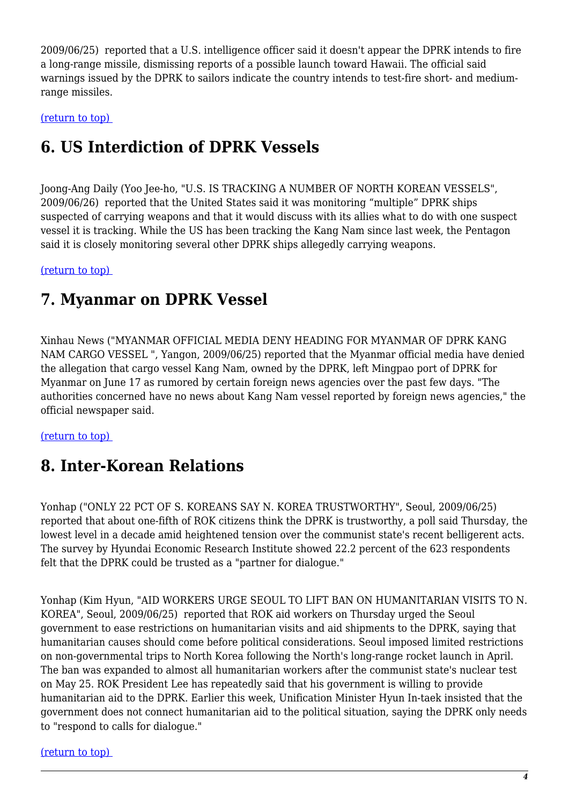2009/06/25) reported that a U.S. intelligence officer said it doesn't appear the DPRK intends to fire a long-range missile, dismissing reports of a possible launch toward Hawaii. The official said warnings issued by the DPRK to sailors indicate the country intends to test-fire short- and mediumrange missiles.

<span id="page-3-0"></span>[\(return to top\)](#page-0-0) 

# **6. US Interdiction of DPRK Vessels**

Joong-Ang Daily (Yoo Jee-ho, "U.S. IS TRACKING A NUMBER OF NORTH KOREAN VESSELS", 2009/06/26) reported that the United States said it was monitoring "multiple" DPRK ships suspected of carrying weapons and that it would discuss with its allies what to do with one suspect vessel it is tracking. While the US has been tracking the Kang Nam since last week, the Pentagon said it is closely monitoring several other DPRK ships allegedly carrying weapons.

#### <span id="page-3-1"></span>[\(return to top\)](#page-0-0)

#### **7. Myanmar on DPRK Vessel**

Xinhau News ("MYANMAR OFFICIAL MEDIA DENY HEADING FOR MYANMAR OF DPRK KANG NAM CARGO VESSEL ", Yangon, 2009/06/25) reported that the Myanmar official media have denied the allegation that cargo vessel Kang Nam, owned by the DPRK, left Mingpao port of DPRK for Myanmar on June 17 as rumored by certain foreign news agencies over the past few days. "The authorities concerned have no news about Kang Nam vessel reported by foreign news agencies," the official newspaper said.

#### <span id="page-3-2"></span>[\(return to top\)](#page-0-0)

# **8. Inter-Korean Relations**

Yonhap ("ONLY 22 PCT OF S. KOREANS SAY N. KOREA TRUSTWORTHY", Seoul, 2009/06/25) reported that about one-fifth of ROK citizens think the DPRK is trustworthy, a poll said Thursday, the lowest level in a decade amid heightened tension over the communist state's recent belligerent acts. The survey by Hyundai Economic Research Institute showed 22.2 percent of the 623 respondents felt that the DPRK could be trusted as a "partner for dialogue."

Yonhap (Kim Hyun, "AID WORKERS URGE SEOUL TO LIFT BAN ON HUMANITARIAN VISITS TO N. KOREA", Seoul, 2009/06/25) reported that ROK aid workers on Thursday urged the Seoul government to ease restrictions on humanitarian visits and aid shipments to the DPRK, saying that humanitarian causes should come before political considerations. Seoul imposed limited restrictions on non-governmental trips to North Korea following the North's long-range rocket launch in April. The ban was expanded to almost all humanitarian workers after the communist state's nuclear test on May 25. ROK President Lee has repeatedly said that his government is willing to provide humanitarian aid to the DPRK. Earlier this week, Unification Minister Hyun In-taek insisted that the government does not connect humanitarian aid to the political situation, saying the DPRK only needs to "respond to calls for dialogue."

<span id="page-3-3"></span>[\(return to top\)](#page-0-0)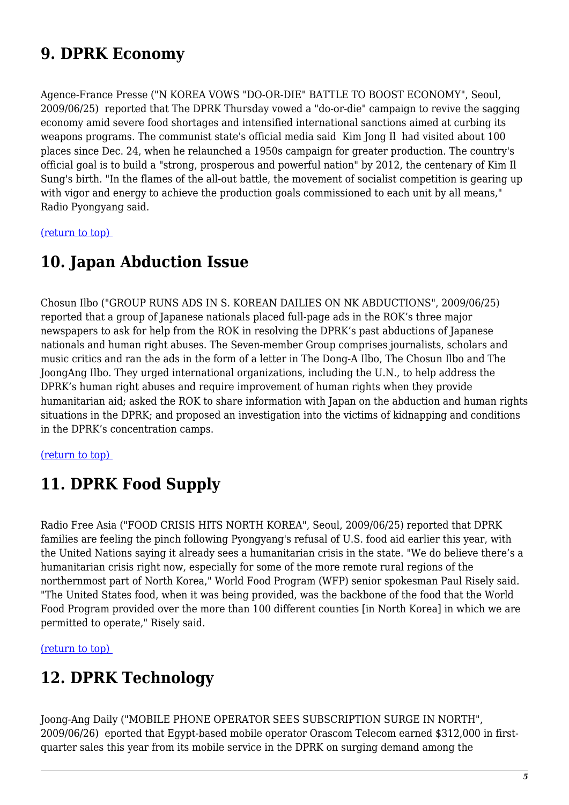# **9. DPRK Economy**

Agence-France Presse ("N KOREA VOWS "DO-OR-DIE" BATTLE TO BOOST ECONOMY", Seoul, 2009/06/25) reported that The DPRK Thursday vowed a "do-or-die" campaign to revive the sagging economy amid severe food shortages and intensified international sanctions aimed at curbing its weapons programs. The communist state's official media said Kim Jong Il had visited about 100 places since Dec. 24, when he relaunched a 1950s campaign for greater production. The country's official goal is to build a "strong, prosperous and powerful nation" by 2012, the centenary of Kim Il Sung's birth. "In the flames of the all-out battle, the movement of socialist competition is gearing up with vigor and energy to achieve the production goals commissioned to each unit by all means," Radio Pyongyang said.

<span id="page-4-0"></span>[\(return to top\)](#page-0-0) 

#### **10. Japan Abduction Issue**

Chosun Ilbo ("GROUP RUNS ADS IN S. KOREAN DAILIES ON NK ABDUCTIONS", 2009/06/25) reported that a group of Japanese nationals placed full-page ads in the ROK's three major newspapers to ask for help from the ROK in resolving the DPRK's past abductions of Japanese nationals and human right abuses. The Seven-member Group comprises journalists, scholars and music critics and ran the ads in the form of a letter in The Dong-A Ilbo, The Chosun Ilbo and The JoongAng Ilbo. They urged international organizations, including the U.N., to help address the DPRK's human right abuses and require improvement of human rights when they provide humanitarian aid; asked the ROK to share information with Japan on the abduction and human rights situations in the DPRK; and proposed an investigation into the victims of kidnapping and conditions in the DPRK's concentration camps.

#### <span id="page-4-1"></span>[\(return to top\)](#page-0-0)

# **11. DPRK Food Supply**

Radio Free Asia ("FOOD CRISIS HITS NORTH KOREA", Seoul, 2009/06/25) reported that DPRK families are feeling the pinch following Pyongyang's refusal of U.S. food aid earlier this year, with the United Nations saying it already sees a humanitarian crisis in the state. "We do believe there's a humanitarian crisis right now, especially for some of the more remote rural regions of the northernmost part of North Korea," World Food Program (WFP) senior spokesman Paul Risely said. "The United States food, when it was being provided, was the backbone of the food that the World Food Program provided over the more than 100 different counties [in North Korea] in which we are permitted to operate," Risely said.

<span id="page-4-2"></span>[\(return to top\)](#page-0-0) 

# **12. DPRK Technology**

Joong-Ang Daily ("MOBILE PHONE OPERATOR SEES SUBSCRIPTION SURGE IN NORTH", 2009/06/26) eported that Egypt-based mobile operator Orascom Telecom earned \$312,000 in firstquarter sales this year from its mobile service in the DPRK on surging demand among the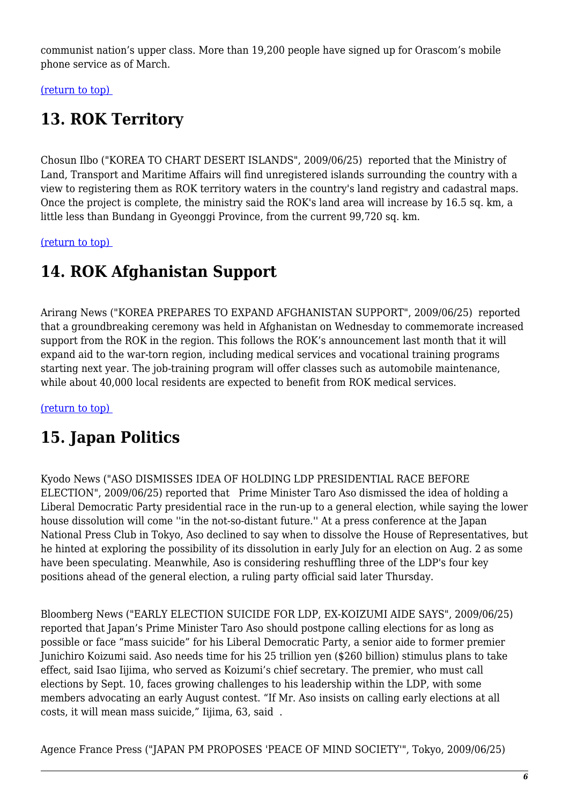communist nation's upper class. More than 19,200 people have signed up for Orascom's mobile phone service as of March.

<span id="page-5-0"></span>[\(return to top\)](#page-0-0) 

# **13. ROK Territory**

Chosun Ilbo ("KOREA TO CHART DESERT ISLANDS", 2009/06/25) reported that the Ministry of Land, Transport and Maritime Affairs will find unregistered islands surrounding the country with a view to registering them as ROK territory waters in the country's land registry and cadastral maps. Once the project is complete, the ministry said the ROK's land area will increase by 16.5 sq. km, a little less than Bundang in Gyeonggi Province, from the current 99,720 sq. km.

<span id="page-5-1"></span>[\(return to top\)](#page-0-0) 

### **14. ROK Afghanistan Support**

Arirang News ("KOREA PREPARES TO EXPAND AFGHANISTAN SUPPORT", 2009/06/25) reported that a groundbreaking ceremony was held in Afghanistan on Wednesday to commemorate increased support from the ROK in the region. This follows the ROK's announcement last month that it will expand aid to the war-torn region, including medical services and vocational training programs starting next year. The job-training program will offer classes such as automobile maintenance, while about 40,000 local residents are expected to benefit from ROK medical services.

<span id="page-5-2"></span>[\(return to top\)](#page-0-0) 

# **15. Japan Politics**

Kyodo News ("ASO DISMISSES IDEA OF HOLDING LDP PRESIDENTIAL RACE BEFORE ELECTION", 2009/06/25) reported that Prime Minister Taro Aso dismissed the idea of holding a Liberal Democratic Party presidential race in the run-up to a general election, while saying the lower house dissolution will come ''in the not-so-distant future.'' At a press conference at the Japan National Press Club in Tokyo, Aso declined to say when to dissolve the House of Representatives, but he hinted at exploring the possibility of its dissolution in early July for an election on Aug. 2 as some have been speculating. Meanwhile, Aso is considering reshuffling three of the LDP's four key positions ahead of the general election, a ruling party official said later Thursday.

Bloomberg News ("EARLY ELECTION SUICIDE FOR LDP, EX-KOIZUMI AIDE SAYS", 2009/06/25) reported that Japan's Prime Minister Taro Aso should postpone calling elections for as long as possible or face "mass suicide" for his Liberal Democratic Party, a senior aide to former premier Junichiro Koizumi said. Aso needs time for his 25 trillion yen (\$260 billion) stimulus plans to take effect, said Isao Iijima, who served as Koizumi's chief secretary. The premier, who must call elections by Sept. 10, faces growing challenges to his leadership within the LDP, with some members advocating an early August contest. "If Mr. Aso insists on calling early elections at all costs, it will mean mass suicide," Iijima, 63, said .

Agence France Press ("JAPAN PM PROPOSES 'PEACE OF MIND SOCIETY'", Tokyo, 2009/06/25)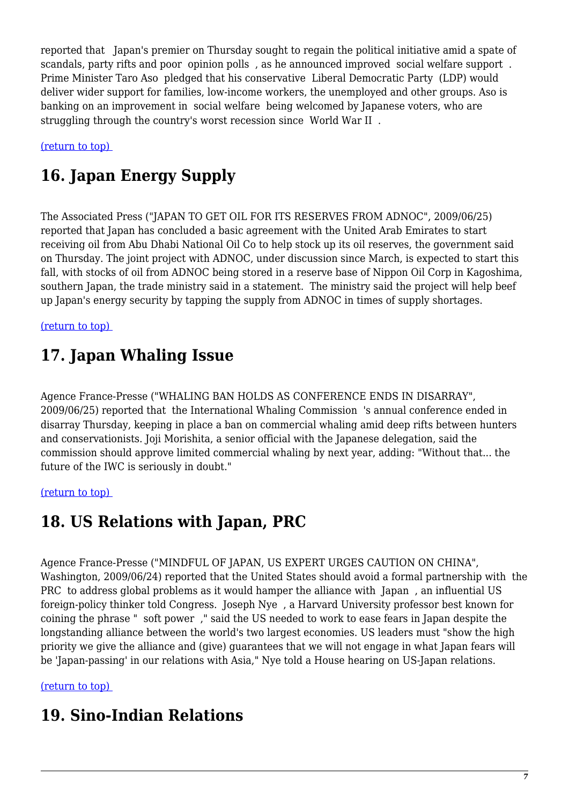reported that Japan's premier on Thursday sought to regain the political initiative amid a spate of scandals, party rifts and poor opinion polls , as he announced improved social welfare support . Prime Minister Taro Aso pledged that his conservative Liberal Democratic Party (LDP) would deliver wider support for families, low-income workers, the unemployed and other groups. Aso is banking on an improvement in social welfare being welcomed by Japanese voters, who are struggling through the country's worst recession since World War II .

<span id="page-6-0"></span>[\(return to top\)](#page-0-0) 

# **16. Japan Energy Supply**

The Associated Press ("JAPAN TO GET OIL FOR ITS RESERVES FROM ADNOC", 2009/06/25) reported that Japan has concluded a basic agreement with the United Arab Emirates to start receiving oil from Abu Dhabi National Oil Co to help stock up its oil reserves, the government said on Thursday. The joint project with ADNOC, under discussion since March, is expected to start this fall, with stocks of oil from ADNOC being stored in a reserve base of Nippon Oil Corp in Kagoshima, southern Japan, the trade ministry said in a statement. The ministry said the project will help beef up Japan's energy security by tapping the supply from ADNOC in times of supply shortages.

<span id="page-6-1"></span>[\(return to top\)](#page-0-0) 

### **17. Japan Whaling Issue**

Agence France-Presse ("WHALING BAN HOLDS AS CONFERENCE ENDS IN DISARRAY", 2009/06/25) reported that the International Whaling Commission 's annual conference ended in disarray Thursday, keeping in place a ban on commercial whaling amid deep rifts between hunters and conservationists. Joji Morishita, a senior official with the Japanese delegation, said the commission should approve limited commercial whaling by next year, adding: "Without that... the future of the IWC is seriously in doubt."

<span id="page-6-2"></span>[\(return to top\)](#page-0-0) 

# **18. US Relations with Japan, PRC**

Agence France-Presse ("MINDFUL OF JAPAN, US EXPERT URGES CAUTION ON CHINA", Washington, 2009/06/24) reported that the United States should avoid a formal partnership with the PRC to address global problems as it would hamper the alliance with Japan , an influential US foreign-policy thinker told Congress. Joseph Nye , a Harvard University professor best known for coining the phrase " soft power ," said the US needed to work to ease fears in Japan despite the longstanding alliance between the world's two largest economies. US leaders must "show the high priority we give the alliance and (give) guarantees that we will not engage in what Japan fears will be 'Japan-passing' in our relations with Asia," Nye told a House hearing on US-Japan relations.

<span id="page-6-3"></span>[\(return to top\)](#page-0-0) 

#### **19. Sino-Indian Relations**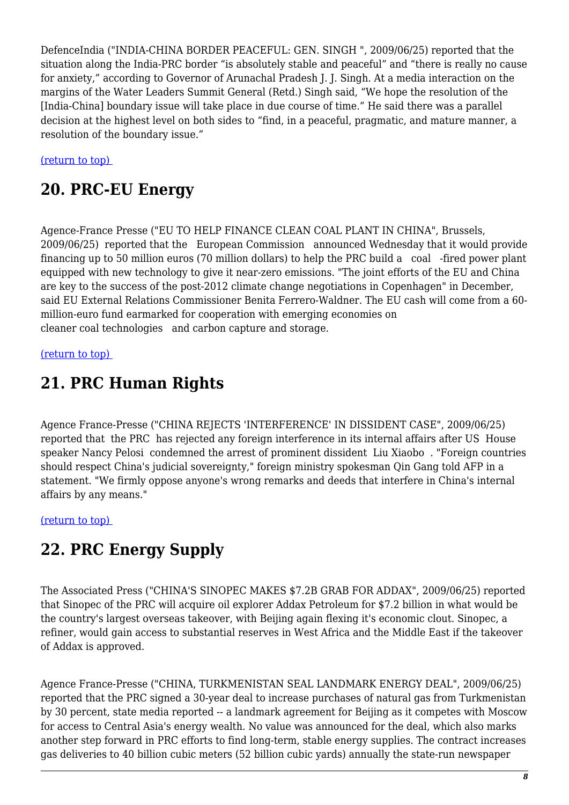DefenceIndia ("INDIA-CHINA BORDER PEACEFUL: GEN. SINGH ", 2009/06/25) reported that the situation along the India-PRC border "is absolutely stable and peaceful" and "there is really no cause for anxiety," according to Governor of Arunachal Pradesh J. J. Singh. At a media interaction on the margins of the Water Leaders Summit General (Retd.) Singh said, "We hope the resolution of the [India-China] boundary issue will take place in due course of time." He said there was a parallel decision at the highest level on both sides to "find, in a peaceful, pragmatic, and mature manner, a resolution of the boundary issue."

<span id="page-7-0"></span>[\(return to top\)](#page-0-0) 

#### **20. PRC-EU Energy**

Agence-France Presse ("EU TO HELP FINANCE CLEAN COAL PLANT IN CHINA", Brussels, 2009/06/25) reported that the European Commission announced Wednesday that it would provide financing up to 50 million euros (70 million dollars) to help the PRC build a coal -fired power plant equipped with new technology to give it near-zero emissions. "The joint efforts of the EU and China are key to the success of the post-2012 climate change negotiations in Copenhagen" in December, said EU External Relations Commissioner Benita Ferrero-Waldner. The EU cash will come from a 60 million-euro fund earmarked for cooperation with emerging economies on cleaner coal technologies and carbon capture and storage.

#### <span id="page-7-1"></span>[\(return to top\)](#page-0-0)

#### **21. PRC Human Rights**

Agence France-Presse ("CHINA REJECTS 'INTERFERENCE' IN DISSIDENT CASE", 2009/06/25) reported that the PRC has rejected any foreign interference in its internal affairs after US House speaker Nancy Pelosi condemned the arrest of prominent dissident Liu Xiaobo . "Foreign countries should respect China's judicial sovereignty," foreign ministry spokesman Qin Gang told AFP in a statement. "We firmly oppose anyone's wrong remarks and deeds that interfere in China's internal affairs by any means."

#### <span id="page-7-2"></span>[\(return to top\)](#page-0-0)

#### **22. PRC Energy Supply**

The Associated Press ("CHINA'S SINOPEC MAKES \$7.2B GRAB FOR ADDAX", 2009/06/25) reported that Sinopec of the PRC will acquire oil explorer Addax Petroleum for \$7.2 billion in what would be the country's largest overseas takeover, with Beijing again flexing it's economic clout. Sinopec, a refiner, would gain access to substantial reserves in West Africa and the Middle East if the takeover of Addax is approved.

Agence France-Presse ("CHINA, TURKMENISTAN SEAL LANDMARK ENERGY DEAL", 2009/06/25) reported that the PRC signed a 30-year deal to increase purchases of natural gas from Turkmenistan by 30 percent, state media reported -- a landmark agreement for Beijing as it competes with Moscow for access to Central Asia's energy wealth. No value was announced for the deal, which also marks another step forward in PRC efforts to find long-term, stable energy supplies. The contract increases gas deliveries to 40 billion cubic meters (52 billion cubic yards) annually the state-run newspaper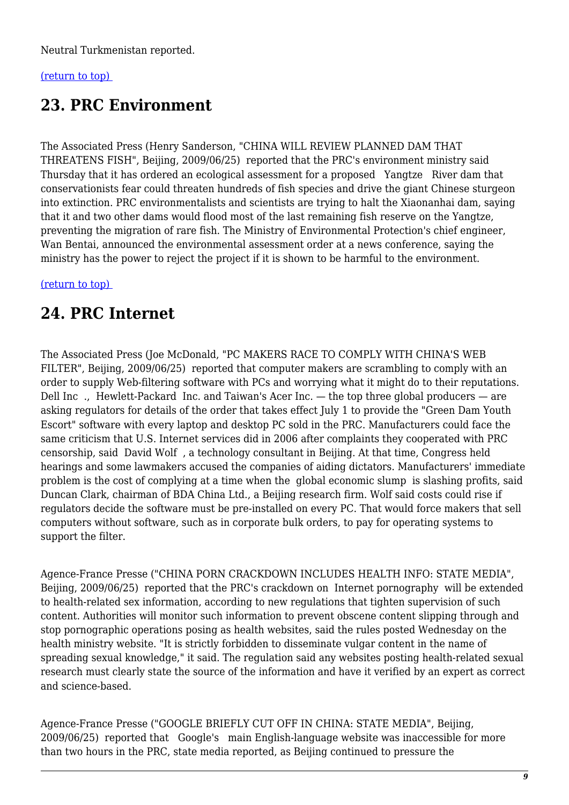Neutral Turkmenistan reported.

#### <span id="page-8-0"></span>[\(return to top\)](#page-0-0)

## **23. PRC Environment**

The Associated Press (Henry Sanderson, "CHINA WILL REVIEW PLANNED DAM THAT THREATENS FISH", Beijing, 2009/06/25) reported that the PRC's environment ministry said Thursday that it has ordered an ecological assessment for a proposed Yangtze River dam that conservationists fear could threaten hundreds of fish species and drive the giant Chinese sturgeon into extinction. PRC environmentalists and scientists are trying to halt the Xiaonanhai dam, saying that it and two other dams would flood most of the last remaining fish reserve on the Yangtze, preventing the migration of rare fish. The Ministry of Environmental Protection's chief engineer, Wan Bentai, announced the environmental assessment order at a news conference, saying the ministry has the power to reject the project if it is shown to be harmful to the environment.

#### <span id="page-8-1"></span>[\(return to top\)](#page-0-0)

### **24. PRC Internet**

The Associated Press (Joe McDonald, "PC MAKERS RACE TO COMPLY WITH CHINA'S WEB FILTER", Beijing, 2009/06/25) reported that computer makers are scrambling to comply with an order to supply Web-filtering software with PCs and worrying what it might do to their reputations. Dell Inc ., Hewlett-Packard Inc. and Taiwan's Acer Inc. — the top three global producers — are asking regulators for details of the order that takes effect July 1 to provide the "Green Dam Youth Escort" software with every laptop and desktop PC sold in the PRC. Manufacturers could face the same criticism that U.S. Internet services did in 2006 after complaints they cooperated with PRC censorship, said David Wolf , a technology consultant in Beijing. At that time, Congress held hearings and some lawmakers accused the companies of aiding dictators. Manufacturers' immediate problem is the cost of complying at a time when the global economic slump is slashing profits, said Duncan Clark, chairman of BDA China Ltd., a Beijing research firm. Wolf said costs could rise if regulators decide the software must be pre-installed on every PC. That would force makers that sell computers without software, such as in corporate bulk orders, to pay for operating systems to support the filter.

Agence-France Presse ("CHINA PORN CRACKDOWN INCLUDES HEALTH INFO: STATE MEDIA", Beijing, 2009/06/25) reported that the PRC's crackdown on Internet pornography will be extended to health-related sex information, according to new regulations that tighten supervision of such content. Authorities will monitor such information to prevent obscene content slipping through and stop pornographic operations posing as health websites, said the rules posted Wednesday on the health ministry website. "It is strictly forbidden to disseminate vulgar content in the name of spreading sexual knowledge," it said. The regulation said any websites posting health-related sexual research must clearly state the source of the information and have it verified by an expert as correct and science-based.

Agence-France Presse ("GOOGLE BRIEFLY CUT OFF IN CHINA: STATE MEDIA", Beijing, 2009/06/25) reported that Google's main English-language website was inaccessible for more than two hours in the PRC, state media reported, as Beijing continued to pressure the